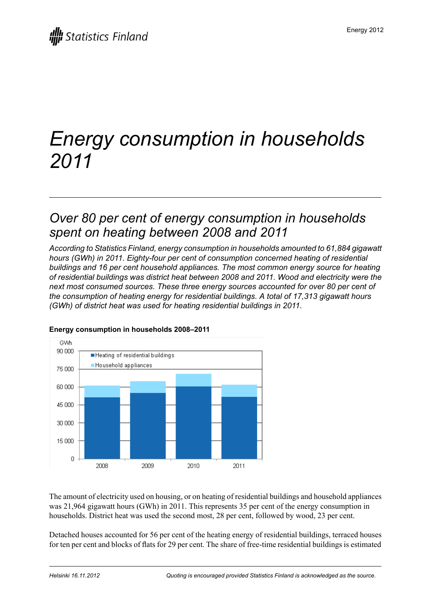# *Energy consumption in households 2011*

### *Over 80 per cent of energy consumption in households spent on heating between 2008 and 2011*

*According to Statistics Finland, energy consumption in households amounted to 61,884 gigawatt hours (GWh) in 2011. Eighty-four per cent of consumption concerned heating of residential buildings and 16 per cent household appliances. The most common energy source for heating of residential buildings was district heat between 2008 and 2011. Wood and electricity were the next most consumed sources. These three energy sources accounted for over 80 per cent of the consumption of heating energy for residential buildings. A total of 17,313 gigawatt hours (GWh) of district heat was used for heating residential buildings in 2011.*



#### **Energy consumption in households 2008–2011**

The amount of electricity used on housing, or on heating of residential buildings and household appliances was 21,964 gigawatt hours (GWh) in 2011. This represents 35 per cent of the energy consumption in households. District heat was used the second most, 28 per cent, followed by wood, 23 per cent.

Detached houses accounted for 56 per cent of the heating energy of residential buildings, terraced houses for ten per cent and blocks of flats for 29 per cent. The share of free-time residential buildings is estimated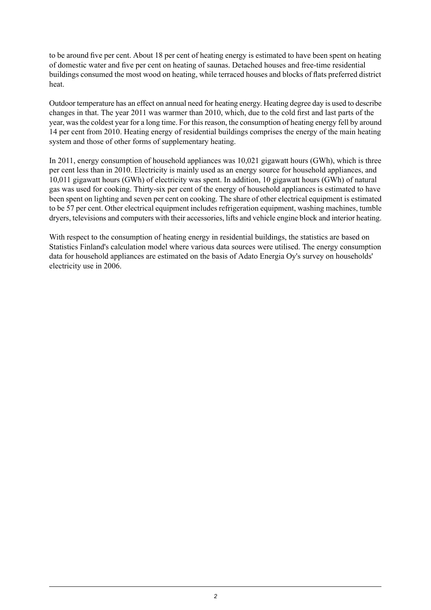to be around five per cent. About 18 per cent of heating energy is estimated to have been spent on heating of domestic water and five per cent on heating of saunas. Detached houses and free-time residential buildings consumed the most wood on heating, while terraced houses and blocks of flats preferred district heat.

Outdoor temperature has an effect on annual need for heating energy. Heating degree day is used to describe changes in that. The year 2011 was warmer than 2010, which, due to the cold first and last parts of the year, wasthe coldest year for a long time. For thisreason, the consumption of heating energy fell by around 14 per cent from 2010. Heating energy of residential buildings comprises the energy of the main heating system and those of other forms of supplementary heating.

In 2011, energy consumption of household appliances was 10,021 gigawatt hours (GWh), which is three per cent less than in 2010. Electricity is mainly used as an energy source for household appliances, and 10,011 gigawatt hours (GWh) of electricity was spent. In addition, 10 gigawatt hours (GWh) of natural gas was used for cooking. Thirty-six per cent of the energy of household appliances is estimated to have been spent on lighting and seven per cent on cooking. The share of other electrical equipment is estimated to be 57 per cent. Other electrical equipment includes refrigeration equipment, washing machines, tumble dryers, televisions and computers with their accessories, lifts and vehicle engine block and interior heating.

With respect to the consumption of heating energy in residential buildings, the statistics are based on Statistics Finland's calculation model where various data sources were utilised. The energy consumption data for household appliances are estimated on the basis of Adato Energia Oy's survey on households' electricity use in 2006.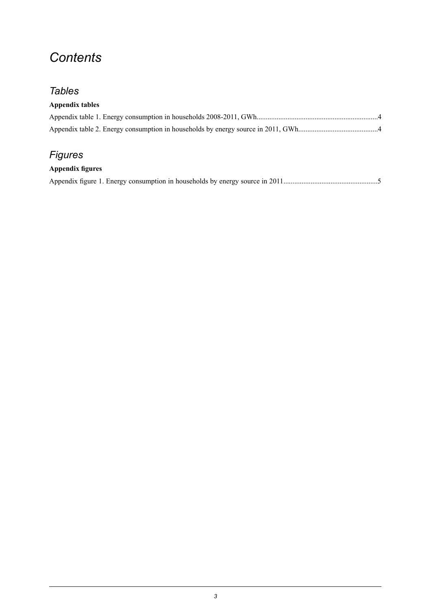# *Contents*

### *Tables*

#### **Appendix tables**

### *Figures*

#### **Appendix figures**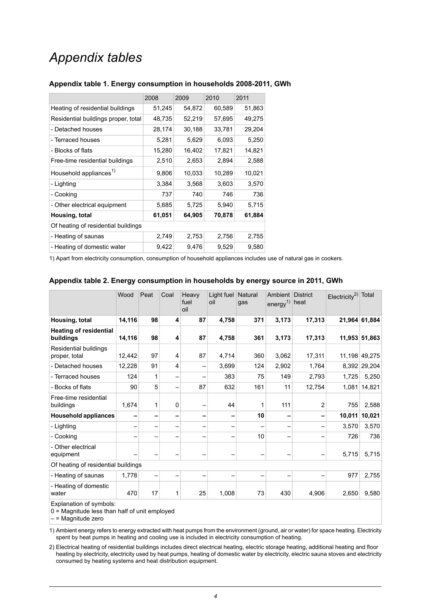## *Appendix tables*

|                                     | 2008   | 2009   | 2010   | 2011   |  |  |  |
|-------------------------------------|--------|--------|--------|--------|--|--|--|
| Heating of residential buildings    | 51,245 | 54,872 | 60,589 | 51,863 |  |  |  |
| Residential buildings proper, total | 48,735 | 52,219 | 57,695 | 49,275 |  |  |  |
| - Detached houses                   | 28,174 | 30,188 | 33,781 | 29,204 |  |  |  |
| - Terraced houses                   | 5,281  | 5,629  | 6,093  | 5,250  |  |  |  |
| - Blocks of flats                   | 15,280 | 16,402 | 17,821 | 14,821 |  |  |  |
| Free-time residential buildings     | 2,510  | 2,653  | 2,894  | 2,588  |  |  |  |
| Household appliances <sup>1)</sup>  | 9,806  | 10,033 | 10,289 | 10,021 |  |  |  |
| - Lighting                          | 3,384  | 3,568  | 3,603  | 3,570  |  |  |  |
| - Cooking                           | 737    | 740    | 746    | 736    |  |  |  |
| - Other electrical equipment        | 5,685  | 5,725  | 5,940  | 5,715  |  |  |  |
| Housing, total                      | 61,051 | 64,905 | 70,878 | 61,884 |  |  |  |
| Of heating of residential buildings |        |        |        |        |  |  |  |
| - Heating of saunas                 | 2,749  | 2,753  | 2,756  | 2,755  |  |  |  |
| - Heating of domestic water         | 9,422  | 9,476  | 9,529  | 9,580  |  |  |  |

#### <span id="page-3-0"></span>**Appendix table 1. Energy consumption in households 2008-2011, GWh**

<span id="page-3-1"></span>1) Apart from electricity consumption, consumption of household appliances includes use of natural gas in cookers.

|                                            | Wood   | Peat | Coal                    | Heavy<br>fuel<br>oil     | Light fuel<br>oil | Natural<br>gas | Ambient District<br>energy <sup>1)</sup> heat |                | $Electricity2$ Total |               |
|--------------------------------------------|--------|------|-------------------------|--------------------------|-------------------|----------------|-----------------------------------------------|----------------|----------------------|---------------|
| Housing, total                             | 14,116 | 98   | $\overline{\mathbf{4}}$ | 87                       | 4,758             | 371            | 3,173                                         | 17,313         |                      | 21,964 61,884 |
| <b>Heating of residential</b><br>buildings | 14,116 | 98   | 4                       | 87                       | 4,758             | 361            | 3,173                                         | 17,313         |                      | 11,953 51,863 |
| Residential buildings<br>proper, total     | 12,442 | 97   | 4                       | 87                       | 4,714             | 360            | 3,062                                         | 17,311         |                      | 11,198 49,275 |
| - Detached houses                          | 12,228 | 91   | 4                       | $\overline{\phantom{m}}$ | 3,699             | 124            | 2,902                                         | 1,764          |                      | 8,392 29,204  |
| - Terraced houses                          | 124    | 1    | $\qquad \qquad$         |                          | 383               | 75             | 149                                           | 2,793          | 1,725                | 5,250         |
| - Bocks of flats                           | 90     | 5    | $\qquad \qquad$         | 87                       | 632               | 161            | 11                                            | 12,754         |                      | 1,081 14,821  |
| Free-time residential<br>buildings         | 1,674  | 1    | 0                       |                          | 44                |                | 111                                           | $\overline{2}$ | 755                  | 2,588         |
| <b>Household appliances</b>                | -      |      | -                       |                          |                   | 10             |                                               |                | 10,011               | 10,021        |
| - Lighting                                 |        |      |                         |                          |                   |                |                                               |                | 3,570                | 3,570         |
| - Cooking                                  |        |      |                         |                          |                   | 10             |                                               |                | 726                  | 736           |
| - Other electrical<br>equipment            |        |      |                         |                          |                   |                |                                               |                | 5,715                | 5,715         |
| Of heating of residential buildings        |        |      |                         |                          |                   |                |                                               |                |                      |               |
| - Heating of saunas                        | 1,778  | —    |                         |                          |                   |                |                                               |                | 977                  | 2,755         |
| - Heating of domestic<br>water             | 470    | 17   | 1                       | 25                       | 1,008             | 73             | 430                                           | 4,906          | 2,650                | 9,580         |

#### **Appendix table 2. Energy consumption in households by energy source in 2011, GWh**

Explanation of symbols:

0 = Magnitude less than half of unit employed

 $-$  = Magnitude zero

1) Ambient energy refers to energy extracted with heat pumps from the environment (ground, air or water) for space heating. Electricity spent by heat pumps in heating and cooling use is included in electricity consumption of heating.

2) Electrical heating of residential buildings includes direct electrical heating, electric storage heating, additional heating and floor heating by electricity, electricity used by heat pumps, heating of domestic water by electricity, electric sauna stoves and electricity consumed by heating systems and heat distribution equipment.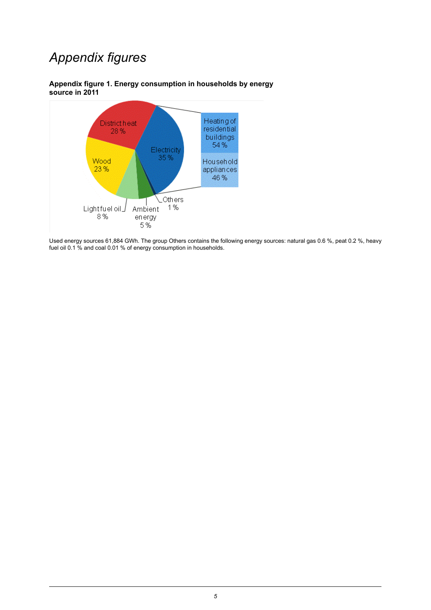# *Appendix figures*



<span id="page-4-0"></span>**Appendix figure 1. Energy consumption in households by energy source in 2011**



Used energy sources 61,884 GWh. The group Others contains the following energy sources: natural gas 0.6 %, peat 0.2 %, heavy fuel oil 0.1 % and coal 0.01 % of energy consumption in households.